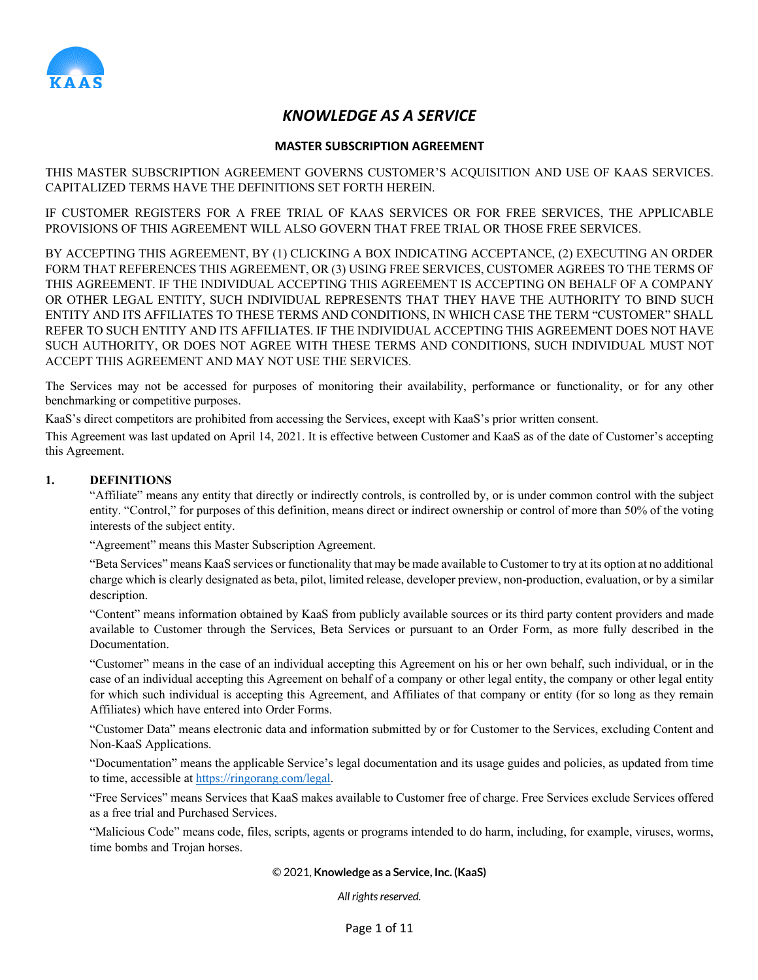

# *KNOWLEDGE AS A SERVICE*

# **MASTER SUBSCRIPTION AGREEMENT**

THIS MASTER SUBSCRIPTION AGREEMENT GOVERNS CUSTOMER'S ACQUISITION AND USE OF KAAS SERVICES. CAPITALIZED TERMS HAVE THE DEFINITIONS SET FORTH HEREIN.

IF CUSTOMER REGISTERS FOR A FREE TRIAL OF KAAS SERVICES OR FOR FREE SERVICES, THE APPLICABLE PROVISIONS OF THIS AGREEMENT WILL ALSO GOVERN THAT FREE TRIAL OR THOSE FREE SERVICES.

BY ACCEPTING THIS AGREEMENT, BY (1) CLICKING A BOX INDICATING ACCEPTANCE, (2) EXECUTING AN ORDER FORM THAT REFERENCES THIS AGREEMENT, OR (3) USING FREE SERVICES, CUSTOMER AGREES TO THE TERMS OF THIS AGREEMENT. IF THE INDIVIDUAL ACCEPTING THIS AGREEMENT IS ACCEPTING ON BEHALF OF A COMPANY OR OTHER LEGAL ENTITY, SUCH INDIVIDUAL REPRESENTS THAT THEY HAVE THE AUTHORITY TO BIND SUCH ENTITY AND ITS AFFILIATES TO THESE TERMS AND CONDITIONS, IN WHICH CASE THE TERM "CUSTOMER" SHALL REFER TO SUCH ENTITY AND ITS AFFILIATES. IF THE INDIVIDUAL ACCEPTING THIS AGREEMENT DOES NOT HAVE SUCH AUTHORITY, OR DOES NOT AGREE WITH THESE TERMS AND CONDITIONS, SUCH INDIVIDUAL MUST NOT ACCEPT THIS AGREEMENT AND MAY NOT USE THE SERVICES.

The Services may not be accessed for purposes of monitoring their availability, performance or functionality, or for any other benchmarking or competitive purposes.

KaaS's direct competitors are prohibited from accessing the Services, except with KaaS's prior written consent.

This Agreement was last updated on April 14, 2021. It is effective between Customer and KaaS as of the date of Customer's accepting this Agreement.

# **1. DEFINITIONS**

"Affiliate" means any entity that directly or indirectly controls, is controlled by, or is under common control with the subject entity. "Control," for purposes of this definition, means direct or indirect ownership or control of more than 50% of the voting interests of the subject entity.

"Agreement" means this Master Subscription Agreement.

"Beta Services" means KaaS services or functionality that may be made available to Customer to try at its option at no additional charge which is clearly designated as beta, pilot, limited release, developer preview, non-production, evaluation, or by a similar description.

"Content" means information obtained by KaaS from publicly available sources or its third party content providers and made available to Customer through the Services, Beta Services or pursuant to an Order Form, as more fully described in the Documentation.

"Customer" means in the case of an individual accepting this Agreement on his or her own behalf, such individual, or in the case of an individual accepting this Agreement on behalf of a company or other legal entity, the company or other legal entity for which such individual is accepting this Agreement, and Affiliates of that company or entity (for so long as they remain Affiliates) which have entered into Order Forms.

"Customer Data" means electronic data and information submitted by or for Customer to the Services, excluding Content and Non-KaaS Applications.

"Documentation" means the applicable Service's legal documentation and its usage guides and policies, as updated from time to time, accessible at https://ringorang.com/legal.

"Free Services" means Services that KaaS makes available to Customer free of charge. Free Services exclude Services offered as a free trial and Purchased Services.

"Malicious Code" means code, files, scripts, agents or programs intended to do harm, including, for example, viruses, worms, time bombs and Trojan horses.

#### © 2021, **Knowledge as a Service, Inc. (KaaS)**

*All rights reserved.*

Page 1 of 11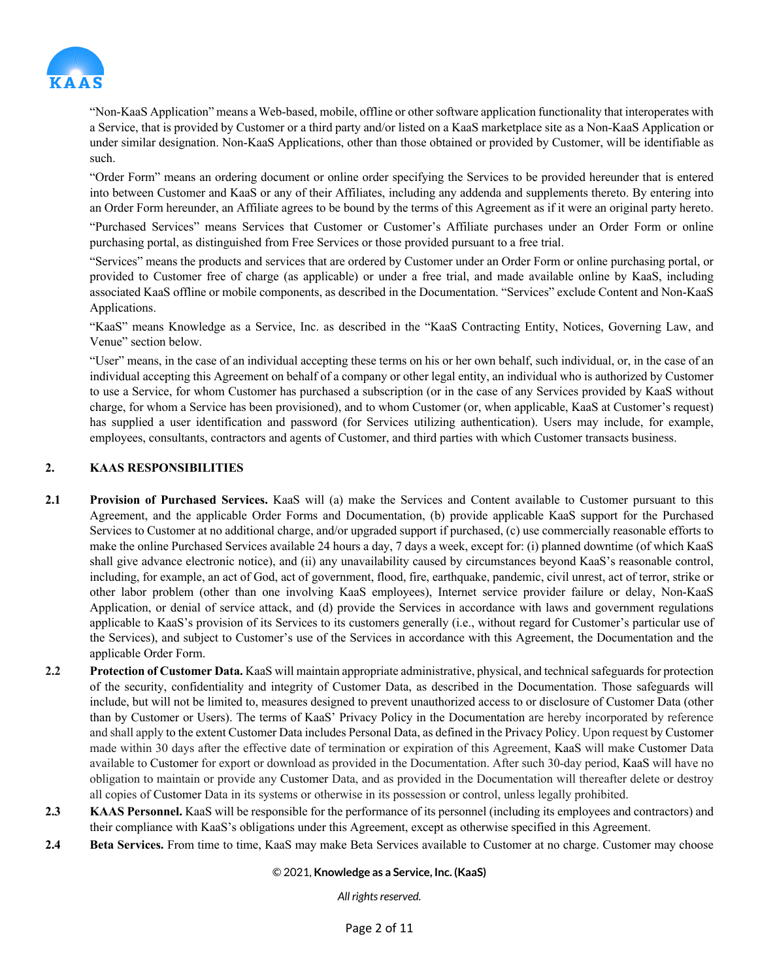

"Non-KaaS Application" means a Web-based, mobile, offline or other software application functionality that interoperates with a Service, that is provided by Customer or a third party and/or listed on a KaaS marketplace site as a Non-KaaS Application or under similar designation. Non-KaaS Applications, other than those obtained or provided by Customer, will be identifiable as such.

"Order Form" means an ordering document or online order specifying the Services to be provided hereunder that is entered into between Customer and KaaS or any of their Affiliates, including any addenda and supplements thereto. By entering into an Order Form hereunder, an Affiliate agrees to be bound by the terms of this Agreement as if it were an original party hereto.

"Purchased Services" means Services that Customer or Customer's Affiliate purchases under an Order Form or online purchasing portal, as distinguished from Free Services or those provided pursuant to a free trial.

"Services" means the products and services that are ordered by Customer under an Order Form or online purchasing portal, or provided to Customer free of charge (as applicable) or under a free trial, and made available online by KaaS, including associated KaaS offline or mobile components, as described in the Documentation. "Services" exclude Content and Non-KaaS Applications.

"KaaS" means Knowledge as a Service, Inc. as described in the "KaaS Contracting Entity, Notices, Governing Law, and Venue" section below.

"User" means, in the case of an individual accepting these terms on his or her own behalf, such individual, or, in the case of an individual accepting this Agreement on behalf of a company or other legal entity, an individual who is authorized by Customer to use a Service, for whom Customer has purchased a subscription (or in the case of any Services provided by KaaS without charge, for whom a Service has been provisioned), and to whom Customer (or, when applicable, KaaS at Customer's request) has supplied a user identification and password (for Services utilizing authentication). Users may include, for example, employees, consultants, contractors and agents of Customer, and third parties with which Customer transacts business.

# **2. KAAS RESPONSIBILITIES**

- **2.1 Provision of Purchased Services.** KaaS will (a) make the Services and Content available to Customer pursuant to this Agreement, and the applicable Order Forms and Documentation, (b) provide applicable KaaS support for the Purchased Services to Customer at no additional charge, and/or upgraded support if purchased, (c) use commercially reasonable efforts to make the online Purchased Services available 24 hours a day, 7 days a week, except for: (i) planned downtime (of which KaaS shall give advance electronic notice), and (ii) any unavailability caused by circumstances beyond KaaS's reasonable control, including, for example, an act of God, act of government, flood, fire, earthquake, pandemic, civil unrest, act of terror, strike or other labor problem (other than one involving KaaS employees), Internet service provider failure or delay, Non-KaaS Application, or denial of service attack, and (d) provide the Services in accordance with laws and government regulations applicable to KaaS's provision of its Services to its customers generally (i.e., without regard for Customer's particular use of the Services), and subject to Customer's use of the Services in accordance with this Agreement, the Documentation and the applicable Order Form.
- **2.2 Protection of Customer Data.** KaaS will maintain appropriate administrative, physical, and technical safeguards for protection of the security, confidentiality and integrity of Customer Data, as described in the Documentation. Those safeguards will include, but will not be limited to, measures designed to prevent unauthorized access to or disclosure of Customer Data (other than by Customer or Users). The terms of KaaS' Privacy Policy in the Documentation are hereby incorporated by reference and shall apply to the extent Customer Data includes Personal Data, as defined in the Privacy Policy. Upon request by Customer made within 30 days after the effective date of termination or expiration of this Agreement, KaaS will make Customer Data available to Customer for export or download as provided in the Documentation. After such 30-day period, KaaS will have no obligation to maintain or provide any Customer Data, and as provided in the Documentation will thereafter delete or destroy all copies of Customer Data in its systems or otherwise in its possession or control, unless legally prohibited.
- **2.3 KAAS Personnel.** KaaS will be responsible for the performance of its personnel (including its employees and contractors) and their compliance with KaaS's obligations under this Agreement, except as otherwise specified in this Agreement.
- **2.4 Beta Services.** From time to time, KaaS may make Beta Services available to Customer at no charge. Customer may choose

#### © 2021, **Knowledge as a Service, Inc. (KaaS)**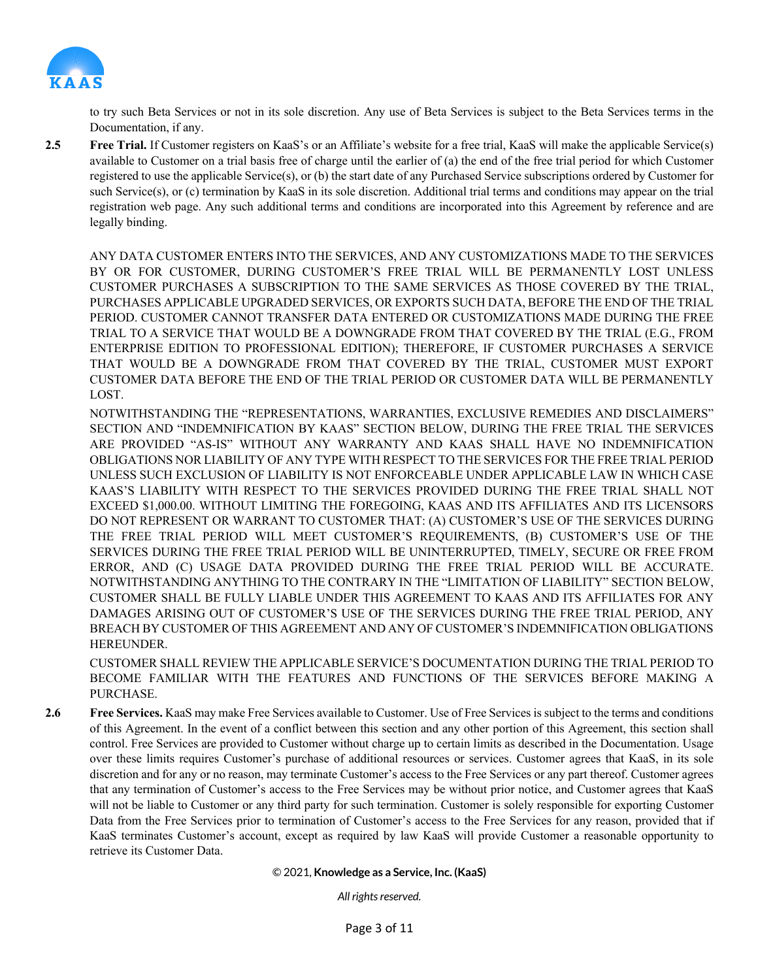

to try such Beta Services or not in its sole discretion. Any use of Beta Services is subject to the Beta Services terms in the Documentation, if any.

**2.5 Free Trial.** If Customer registers on KaaS's or an Affiliate's website for a free trial, KaaS will make the applicable Service(s) available to Customer on a trial basis free of charge until the earlier of (a) the end of the free trial period for which Customer registered to use the applicable Service(s), or (b) the start date of any Purchased Service subscriptions ordered by Customer for such Service(s), or (c) termination by KaaS in its sole discretion. Additional trial terms and conditions may appear on the trial registration web page. Any such additional terms and conditions are incorporated into this Agreement by reference and are legally binding.

ANY DATA CUSTOMER ENTERS INTO THE SERVICES, AND ANY CUSTOMIZATIONS MADE TO THE SERVICES BY OR FOR CUSTOMER, DURING CUSTOMER'S FREE TRIAL WILL BE PERMANENTLY LOST UNLESS CUSTOMER PURCHASES A SUBSCRIPTION TO THE SAME SERVICES AS THOSE COVERED BY THE TRIAL, PURCHASES APPLICABLE UPGRADED SERVICES, OR EXPORTS SUCH DATA, BEFORE THE END OF THE TRIAL PERIOD. CUSTOMER CANNOT TRANSFER DATA ENTERED OR CUSTOMIZATIONS MADE DURING THE FREE TRIAL TO A SERVICE THAT WOULD BE A DOWNGRADE FROM THAT COVERED BY THE TRIAL (E.G., FROM ENTERPRISE EDITION TO PROFESSIONAL EDITION); THEREFORE, IF CUSTOMER PURCHASES A SERVICE THAT WOULD BE A DOWNGRADE FROM THAT COVERED BY THE TRIAL, CUSTOMER MUST EXPORT CUSTOMER DATA BEFORE THE END OF THE TRIAL PERIOD OR CUSTOMER DATA WILL BE PERMANENTLY LOST.

NOTWITHSTANDING THE "REPRESENTATIONS, WARRANTIES, EXCLUSIVE REMEDIES AND DISCLAIMERS" SECTION AND "INDEMNIFICATION BY KAAS" SECTION BELOW, DURING THE FREE TRIAL THE SERVICES ARE PROVIDED "AS-IS" WITHOUT ANY WARRANTY AND KAAS SHALL HAVE NO INDEMNIFICATION OBLIGATIONS NOR LIABILITY OF ANY TYPE WITH RESPECT TO THE SERVICES FOR THE FREE TRIAL PERIOD UNLESS SUCH EXCLUSION OF LIABILITY IS NOT ENFORCEABLE UNDER APPLICABLE LAW IN WHICH CASE KAAS'S LIABILITY WITH RESPECT TO THE SERVICES PROVIDED DURING THE FREE TRIAL SHALL NOT EXCEED \$1,000.00. WITHOUT LIMITING THE FOREGOING, KAAS AND ITS AFFILIATES AND ITS LICENSORS DO NOT REPRESENT OR WARRANT TO CUSTOMER THAT: (A) CUSTOMER'S USE OF THE SERVICES DURING THE FREE TRIAL PERIOD WILL MEET CUSTOMER'S REQUIREMENTS, (B) CUSTOMER'S USE OF THE SERVICES DURING THE FREE TRIAL PERIOD WILL BE UNINTERRUPTED, TIMELY, SECURE OR FREE FROM ERROR, AND (C) USAGE DATA PROVIDED DURING THE FREE TRIAL PERIOD WILL BE ACCURATE. NOTWITHSTANDING ANYTHING TO THE CONTRARY IN THE "LIMITATION OF LIABILITY" SECTION BELOW, CUSTOMER SHALL BE FULLY LIABLE UNDER THIS AGREEMENT TO KAAS AND ITS AFFILIATES FOR ANY DAMAGES ARISING OUT OF CUSTOMER'S USE OF THE SERVICES DURING THE FREE TRIAL PERIOD, ANY BREACH BY CUSTOMER OF THIS AGREEMENT AND ANY OF CUSTOMER'S INDEMNIFICATION OBLIGATIONS HEREUNDER.

CUSTOMER SHALL REVIEW THE APPLICABLE SERVICE'S DOCUMENTATION DURING THE TRIAL PERIOD TO BECOME FAMILIAR WITH THE FEATURES AND FUNCTIONS OF THE SERVICES BEFORE MAKING A PURCHASE.

**2.6 Free Services.** KaaS may make Free Services available to Customer. Use of Free Services is subject to the terms and conditions of this Agreement. In the event of a conflict between this section and any other portion of this Agreement, this section shall control. Free Services are provided to Customer without charge up to certain limits as described in the Documentation. Usage over these limits requires Customer's purchase of additional resources or services. Customer agrees that KaaS, in its sole discretion and for any or no reason, may terminate Customer's access to the Free Services or any part thereof. Customer agrees that any termination of Customer's access to the Free Services may be without prior notice, and Customer agrees that KaaS will not be liable to Customer or any third party for such termination. Customer is solely responsible for exporting Customer Data from the Free Services prior to termination of Customer's access to the Free Services for any reason, provided that if KaaS terminates Customer's account, except as required by law KaaS will provide Customer a reasonable opportunity to retrieve its Customer Data.

© 2021, **Knowledge as a Service, Inc. (KaaS)**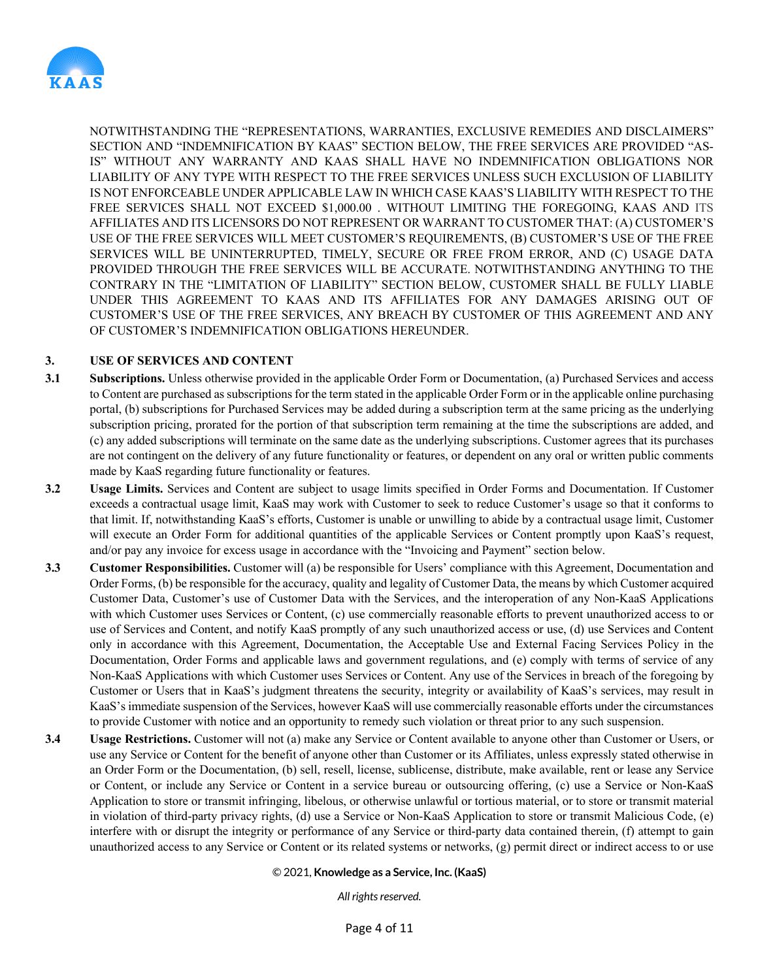

NOTWITHSTANDING THE "REPRESENTATIONS, WARRANTIES, EXCLUSIVE REMEDIES AND DISCLAIMERS" SECTION AND "INDEMNIFICATION BY KAAS" SECTION BELOW, THE FREE SERVICES ARE PROVIDED "AS-IS" WITHOUT ANY WARRANTY AND KAAS SHALL HAVE NO INDEMNIFICATION OBLIGATIONS NOR LIABILITY OF ANY TYPE WITH RESPECT TO THE FREE SERVICES UNLESS SUCH EXCLUSION OF LIABILITY IS NOT ENFORCEABLE UNDER APPLICABLE LAW IN WHICH CASE KAAS'S LIABILITY WITH RESPECT TO THE FREE SERVICES SHALL NOT EXCEED \$1,000.00 . WITHOUT LIMITING THE FOREGOING, KAAS AND ITS AFFILIATES AND ITS LICENSORS DO NOT REPRESENT OR WARRANT TO CUSTOMER THAT: (A) CUSTOMER'S USE OF THE FREE SERVICES WILL MEET CUSTOMER'S REQUIREMENTS, (B) CUSTOMER'S USE OF THE FREE SERVICES WILL BE UNINTERRUPTED, TIMELY, SECURE OR FREE FROM ERROR, AND (C) USAGE DATA PROVIDED THROUGH THE FREE SERVICES WILL BE ACCURATE. NOTWITHSTANDING ANYTHING TO THE CONTRARY IN THE "LIMITATION OF LIABILITY" SECTION BELOW, CUSTOMER SHALL BE FULLY LIABLE UNDER THIS AGREEMENT TO KAAS AND ITS AFFILIATES FOR ANY DAMAGES ARISING OUT OF CUSTOMER'S USE OF THE FREE SERVICES, ANY BREACH BY CUSTOMER OF THIS AGREEMENT AND ANY OF CUSTOMER'S INDEMNIFICATION OBLIGATIONS HEREUNDER.

# **3. USE OF SERVICES AND CONTENT**

- **3.1 Subscriptions.** Unless otherwise provided in the applicable Order Form or Documentation, (a) Purchased Services and access to Content are purchased as subscriptions for the term stated in the applicable Order Form or in the applicable online purchasing portal, (b) subscriptions for Purchased Services may be added during a subscription term at the same pricing as the underlying subscription pricing, prorated for the portion of that subscription term remaining at the time the subscriptions are added, and (c) any added subscriptions will terminate on the same date as the underlying subscriptions. Customer agrees that its purchases are not contingent on the delivery of any future functionality or features, or dependent on any oral or written public comments made by KaaS regarding future functionality or features.
- **3.2 Usage Limits.** Services and Content are subject to usage limits specified in Order Forms and Documentation. If Customer exceeds a contractual usage limit, KaaS may work with Customer to seek to reduce Customer's usage so that it conforms to that limit. If, notwithstanding KaaS's efforts, Customer is unable or unwilling to abide by a contractual usage limit, Customer will execute an Order Form for additional quantities of the applicable Services or Content promptly upon KaaS's request, and/or pay any invoice for excess usage in accordance with the "Invoicing and Payment" section below.
- **3.3 Customer Responsibilities.** Customer will (a) be responsible for Users' compliance with this Agreement, Documentation and Order Forms, (b) be responsible for the accuracy, quality and legality of Customer Data, the means by which Customer acquired Customer Data, Customer's use of Customer Data with the Services, and the interoperation of any Non-KaaS Applications with which Customer uses Services or Content, (c) use commercially reasonable efforts to prevent unauthorized access to or use of Services and Content, and notify KaaS promptly of any such unauthorized access or use, (d) use Services and Content only in accordance with this Agreement, Documentation, the Acceptable Use and External Facing Services Policy in the Documentation, Order Forms and applicable laws and government regulations, and (e) comply with terms of service of any Non-KaaS Applications with which Customer uses Services or Content. Any use of the Services in breach of the foregoing by Customer or Users that in KaaS's judgment threatens the security, integrity or availability of KaaS's services, may result in KaaS's immediate suspension of the Services, however KaaS will use commercially reasonable efforts under the circumstances to provide Customer with notice and an opportunity to remedy such violation or threat prior to any such suspension.
- **3.4 Usage Restrictions.** Customer will not (a) make any Service or Content available to anyone other than Customer or Users, or use any Service or Content for the benefit of anyone other than Customer or its Affiliates, unless expressly stated otherwise in an Order Form or the Documentation, (b) sell, resell, license, sublicense, distribute, make available, rent or lease any Service or Content, or include any Service or Content in a service bureau or outsourcing offering, (c) use a Service or Non-KaaS Application to store or transmit infringing, libelous, or otherwise unlawful or tortious material, or to store or transmit material in violation of third-party privacy rights, (d) use a Service or Non-KaaS Application to store or transmit Malicious Code, (e) interfere with or disrupt the integrity or performance of any Service or third-party data contained therein, (f) attempt to gain unauthorized access to any Service or Content or its related systems or networks, (g) permit direct or indirect access to or use

#### © 2021, **Knowledge as a Service, Inc. (KaaS)**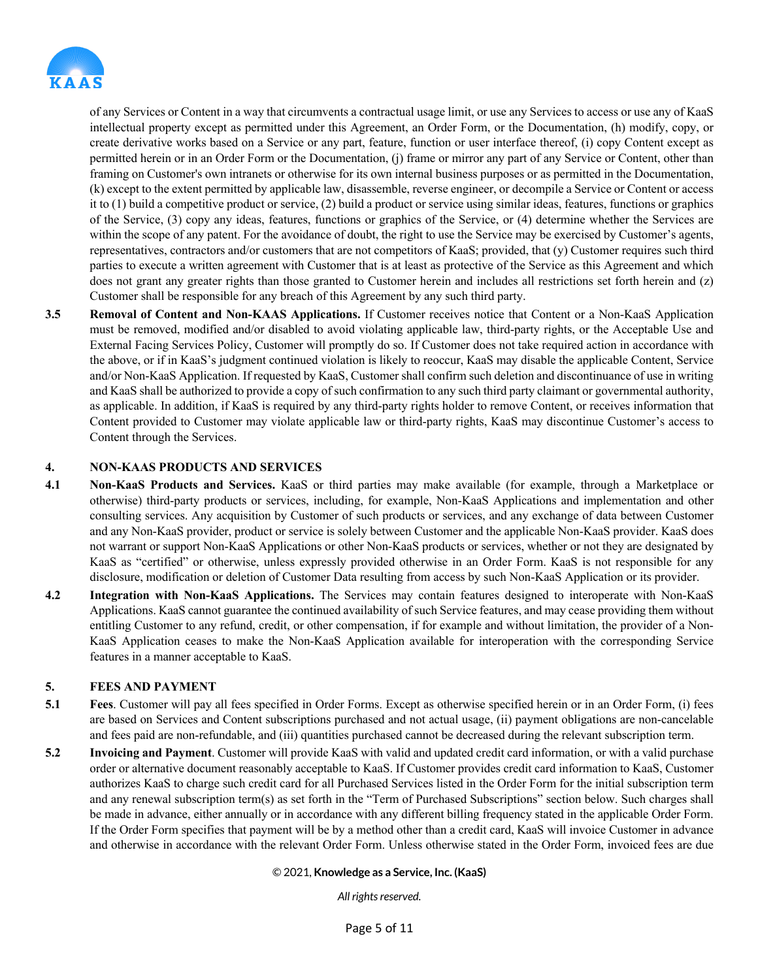

of any Services or Content in a way that circumvents a contractual usage limit, or use any Services to access or use any of KaaS intellectual property except as permitted under this Agreement, an Order Form, or the Documentation, (h) modify, copy, or create derivative works based on a Service or any part, feature, function or user interface thereof, (i) copy Content except as permitted herein or in an Order Form or the Documentation, (j) frame or mirror any part of any Service or Content, other than framing on Customer's own intranets or otherwise for its own internal business purposes or as permitted in the Documentation, (k) except to the extent permitted by applicable law, disassemble, reverse engineer, or decompile a Service or Content or access it to (1) build a competitive product or service, (2) build a product or service using similar ideas, features, functions or graphics of the Service, (3) copy any ideas, features, functions or graphics of the Service, or (4) determine whether the Services are within the scope of any patent. For the avoidance of doubt, the right to use the Service may be exercised by Customer's agents, representatives, contractors and/or customers that are not competitors of KaaS; provided, that (y) Customer requires such third parties to execute a written agreement with Customer that is at least as protective of the Service as this Agreement and which does not grant any greater rights than those granted to Customer herein and includes all restrictions set forth herein and (z) Customer shall be responsible for any breach of this Agreement by any such third party.

**3.5 Removal of Content and Non-KAAS Applications.** If Customer receives notice that Content or a Non-KaaS Application must be removed, modified and/or disabled to avoid violating applicable law, third-party rights, or the Acceptable Use and External Facing Services Policy, Customer will promptly do so. If Customer does not take required action in accordance with the above, or if in KaaS's judgment continued violation is likely to reoccur, KaaS may disable the applicable Content, Service and/or Non-KaaS Application. If requested by KaaS, Customer shall confirm such deletion and discontinuance of use in writing and KaaS shall be authorized to provide a copy of such confirmation to any such third party claimant or governmental authority, as applicable. In addition, if KaaS is required by any third-party rights holder to remove Content, or receives information that Content provided to Customer may violate applicable law or third-party rights, KaaS may discontinue Customer's access to Content through the Services.

### **4. NON-KAAS PRODUCTS AND SERVICES**

- **4.1 Non-KaaS Products and Services.** KaaS or third parties may make available (for example, through a Marketplace or otherwise) third-party products or services, including, for example, Non-KaaS Applications and implementation and other consulting services. Any acquisition by Customer of such products or services, and any exchange of data between Customer and any Non-KaaS provider, product or service is solely between Customer and the applicable Non-KaaS provider. KaaS does not warrant or support Non-KaaS Applications or other Non-KaaS products or services, whether or not they are designated by KaaS as "certified" or otherwise, unless expressly provided otherwise in an Order Form. KaaS is not responsible for any disclosure, modification or deletion of Customer Data resulting from access by such Non-KaaS Application or its provider.
- **4.2 Integration with Non-KaaS Applications.** The Services may contain features designed to interoperate with Non-KaaS Applications. KaaS cannot guarantee the continued availability of such Service features, and may cease providing them without entitling Customer to any refund, credit, or other compensation, if for example and without limitation, the provider of a Non-KaaS Application ceases to make the Non-KaaS Application available for interoperation with the corresponding Service features in a manner acceptable to KaaS.

### **5. FEES AND PAYMENT**

- **5.1 Fees**. Customer will pay all fees specified in Order Forms. Except as otherwise specified herein or in an Order Form, (i) fees are based on Services and Content subscriptions purchased and not actual usage, (ii) payment obligations are non-cancelable and fees paid are non-refundable, and (iii) quantities purchased cannot be decreased during the relevant subscription term.
- **5.2 Invoicing and Payment**. Customer will provide KaaS with valid and updated credit card information, or with a valid purchase order or alternative document reasonably acceptable to KaaS. If Customer provides credit card information to KaaS, Customer authorizes KaaS to charge such credit card for all Purchased Services listed in the Order Form for the initial subscription term and any renewal subscription term(s) as set forth in the "Term of Purchased Subscriptions" section below. Such charges shall be made in advance, either annually or in accordance with any different billing frequency stated in the applicable Order Form. If the Order Form specifies that payment will be by a method other than a credit card, KaaS will invoice Customer in advance and otherwise in accordance with the relevant Order Form. Unless otherwise stated in the Order Form, invoiced fees are due

#### © 2021, **Knowledge as a Service, Inc. (KaaS)**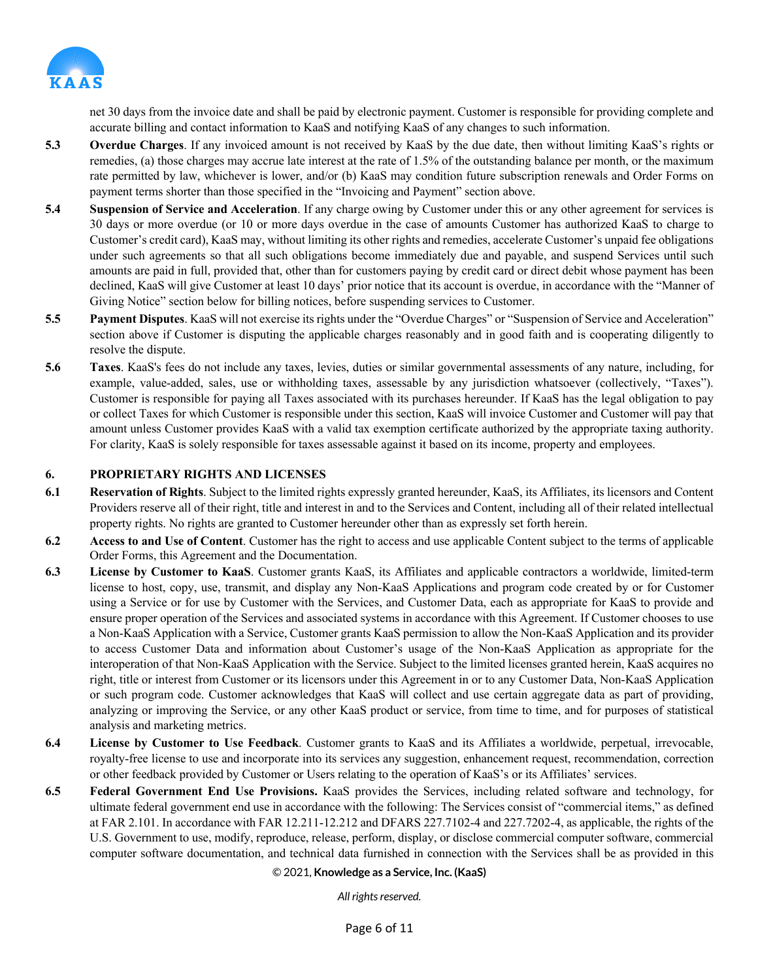

net 30 days from the invoice date and shall be paid by electronic payment. Customer is responsible for providing complete and accurate billing and contact information to KaaS and notifying KaaS of any changes to such information.

- **5.3 Overdue Charges**. If any invoiced amount is not received by KaaS by the due date, then without limiting KaaS's rights or remedies, (a) those charges may accrue late interest at the rate of 1.5% of the outstanding balance per month, or the maximum rate permitted by law, whichever is lower, and/or (b) KaaS may condition future subscription renewals and Order Forms on payment terms shorter than those specified in the "Invoicing and Payment" section above.
- **5.4 Suspension of Service and Acceleration**. If any charge owing by Customer under this or any other agreement for services is 30 days or more overdue (or 10 or more days overdue in the case of amounts Customer has authorized KaaS to charge to Customer's credit card), KaaS may, without limiting its other rights and remedies, accelerate Customer's unpaid fee obligations under such agreements so that all such obligations become immediately due and payable, and suspend Services until such amounts are paid in full, provided that, other than for customers paying by credit card or direct debit whose payment has been declined, KaaS will give Customer at least 10 days' prior notice that its account is overdue, in accordance with the "Manner of Giving Notice" section below for billing notices, before suspending services to Customer.
- **5.5 Payment Disputes**. KaaS will not exercise its rights under the "Overdue Charges" or "Suspension of Service and Acceleration" section above if Customer is disputing the applicable charges reasonably and in good faith and is cooperating diligently to resolve the dispute.
- **5.6 Taxes**. KaaS's fees do not include any taxes, levies, duties or similar governmental assessments of any nature, including, for example, value-added, sales, use or withholding taxes, assessable by any jurisdiction whatsoever (collectively, "Taxes"). Customer is responsible for paying all Taxes associated with its purchases hereunder. If KaaS has the legal obligation to pay or collect Taxes for which Customer is responsible under this section, KaaS will invoice Customer and Customer will pay that amount unless Customer provides KaaS with a valid tax exemption certificate authorized by the appropriate taxing authority. For clarity, KaaS is solely responsible for taxes assessable against it based on its income, property and employees.

### **6. PROPRIETARY RIGHTS AND LICENSES**

- **6.1 Reservation of Rights**. Subject to the limited rights expressly granted hereunder, KaaS, its Affiliates, its licensors and Content Providers reserve all of their right, title and interest in and to the Services and Content, including all of their related intellectual property rights. No rights are granted to Customer hereunder other than as expressly set forth herein.
- **6.2 Access to and Use of Content**. Customer has the right to access and use applicable Content subject to the terms of applicable Order Forms, this Agreement and the Documentation.
- **6.3 License by Customer to KaaS**. Customer grants KaaS, its Affiliates and applicable contractors a worldwide, limited-term license to host, copy, use, transmit, and display any Non-KaaS Applications and program code created by or for Customer using a Service or for use by Customer with the Services, and Customer Data, each as appropriate for KaaS to provide and ensure proper operation of the Services and associated systems in accordance with this Agreement. If Customer chooses to use a Non-KaaS Application with a Service, Customer grants KaaS permission to allow the Non-KaaS Application and its provider to access Customer Data and information about Customer's usage of the Non-KaaS Application as appropriate for the interoperation of that Non-KaaS Application with the Service. Subject to the limited licenses granted herein, KaaS acquires no right, title or interest from Customer or its licensors under this Agreement in or to any Customer Data, Non-KaaS Application or such program code. Customer acknowledges that KaaS will collect and use certain aggregate data as part of providing, analyzing or improving the Service, or any other KaaS product or service, from time to time, and for purposes of statistical analysis and marketing metrics.
- **6.4 License by Customer to Use Feedback**. Customer grants to KaaS and its Affiliates a worldwide, perpetual, irrevocable, royalty-free license to use and incorporate into its services any suggestion, enhancement request, recommendation, correction or other feedback provided by Customer or Users relating to the operation of KaaS's or its Affiliates' services.
- **6.5 Federal Government End Use Provisions.** KaaS provides the Services, including related software and technology, for ultimate federal government end use in accordance with the following: The Services consist of "commercial items," as defined at FAR 2.101. In accordance with FAR 12.211-12.212 and DFARS 227.7102-4 and 227.7202-4, as applicable, the rights of the U.S. Government to use, modify, reproduce, release, perform, display, or disclose commercial computer software, commercial computer software documentation, and technical data furnished in connection with the Services shall be as provided in this

#### © 2021, **Knowledge as a Service, Inc. (KaaS)**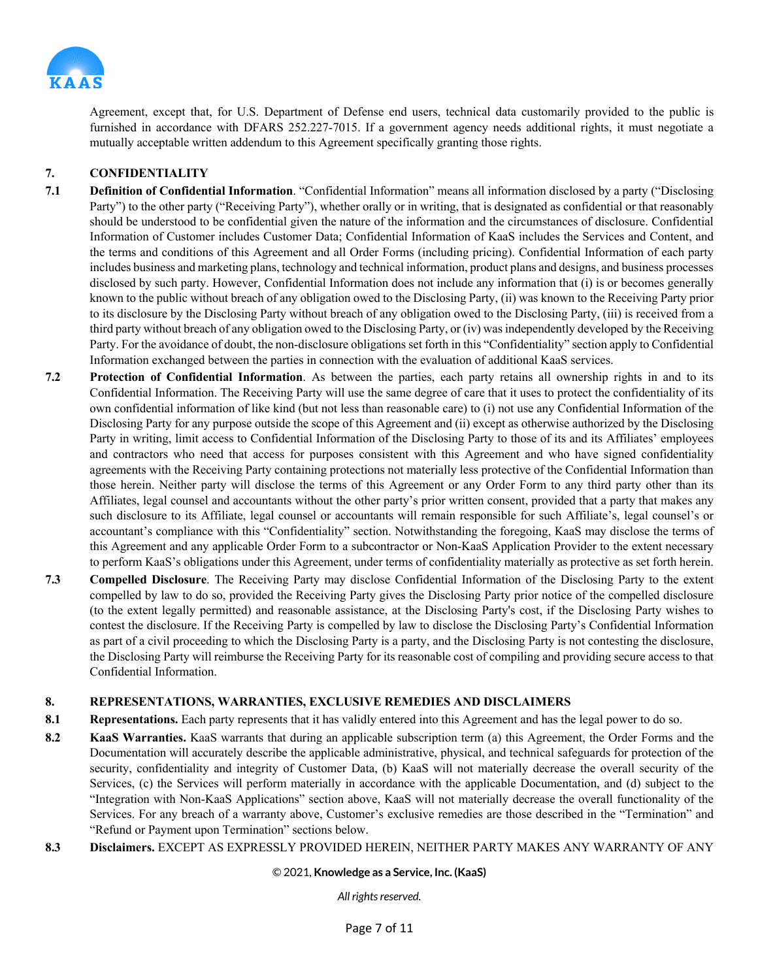

Agreement, except that, for U.S. Department of Defense end users, technical data customarily provided to the public is furnished in accordance with DFARS 252.227-7015. If a government agency needs additional rights, it must negotiate a mutually acceptable written addendum to this Agreement specifically granting those rights.

# **7. CONFIDENTIALITY**

- **7.1 Definition of Confidential Information**. "Confidential Information" means all information disclosed by a party ("Disclosing Party") to the other party ("Receiving Party"), whether orally or in writing, that is designated as confidential or that reasonably should be understood to be confidential given the nature of the information and the circumstances of disclosure. Confidential Information of Customer includes Customer Data; Confidential Information of KaaS includes the Services and Content, and the terms and conditions of this Agreement and all Order Forms (including pricing). Confidential Information of each party includes business and marketing plans, technology and technical information, product plans and designs, and business processes disclosed by such party. However, Confidential Information does not include any information that (i) is or becomes generally known to the public without breach of any obligation owed to the Disclosing Party, (ii) was known to the Receiving Party prior to its disclosure by the Disclosing Party without breach of any obligation owed to the Disclosing Party, (iii) is received from a third party without breach of any obligation owed to the Disclosing Party, or (iv) was independently developed by the Receiving Party. For the avoidance of doubt, the non-disclosure obligations set forth in this "Confidentiality" section apply to Confidential Information exchanged between the parties in connection with the evaluation of additional KaaS services.
- **7.2 Protection of Confidential Information**. As between the parties, each party retains all ownership rights in and to its Confidential Information. The Receiving Party will use the same degree of care that it uses to protect the confidentiality of its own confidential information of like kind (but not less than reasonable care) to (i) not use any Confidential Information of the Disclosing Party for any purpose outside the scope of this Agreement and (ii) except as otherwise authorized by the Disclosing Party in writing, limit access to Confidential Information of the Disclosing Party to those of its and its Affiliates' employees and contractors who need that access for purposes consistent with this Agreement and who have signed confidentiality agreements with the Receiving Party containing protections not materially less protective of the Confidential Information than those herein. Neither party will disclose the terms of this Agreement or any Order Form to any third party other than its Affiliates, legal counsel and accountants without the other party's prior written consent, provided that a party that makes any such disclosure to its Affiliate, legal counsel or accountants will remain responsible for such Affiliate's, legal counsel's or accountant's compliance with this "Confidentiality" section. Notwithstanding the foregoing, KaaS may disclose the terms of this Agreement and any applicable Order Form to a subcontractor or Non-KaaS Application Provider to the extent necessary to perform KaaS's obligations under this Agreement, under terms of confidentiality materially as protective as set forth herein.
- **7.3 Compelled Disclosure**. The Receiving Party may disclose Confidential Information of the Disclosing Party to the extent compelled by law to do so, provided the Receiving Party gives the Disclosing Party prior notice of the compelled disclosure (to the extent legally permitted) and reasonable assistance, at the Disclosing Party's cost, if the Disclosing Party wishes to contest the disclosure. If the Receiving Party is compelled by law to disclose the Disclosing Party's Confidential Information as part of a civil proceeding to which the Disclosing Party is a party, and the Disclosing Party is not contesting the disclosure, the Disclosing Party will reimburse the Receiving Party for its reasonable cost of compiling and providing secure access to that Confidential Information.

# **8. REPRESENTATIONS, WARRANTIES, EXCLUSIVE REMEDIES AND DISCLAIMERS**

- **8.1 Representations.** Each party represents that it has validly entered into this Agreement and has the legal power to do so.
- **8.2 KaaS Warranties.** KaaS warrants that during an applicable subscription term (a) this Agreement, the Order Forms and the Documentation will accurately describe the applicable administrative, physical, and technical safeguards for protection of the security, confidentiality and integrity of Customer Data, (b) KaaS will not materially decrease the overall security of the Services, (c) the Services will perform materially in accordance with the applicable Documentation, and (d) subject to the "Integration with Non-KaaS Applications" section above, KaaS will not materially decrease the overall functionality of the Services. For any breach of a warranty above, Customer's exclusive remedies are those described in the "Termination" and "Refund or Payment upon Termination" sections below.

### **8.3 Disclaimers.** EXCEPT AS EXPRESSLY PROVIDED HEREIN, NEITHER PARTY MAKES ANY WARRANTY OF ANY

#### © 2021, **Knowledge as a Service, Inc. (KaaS)**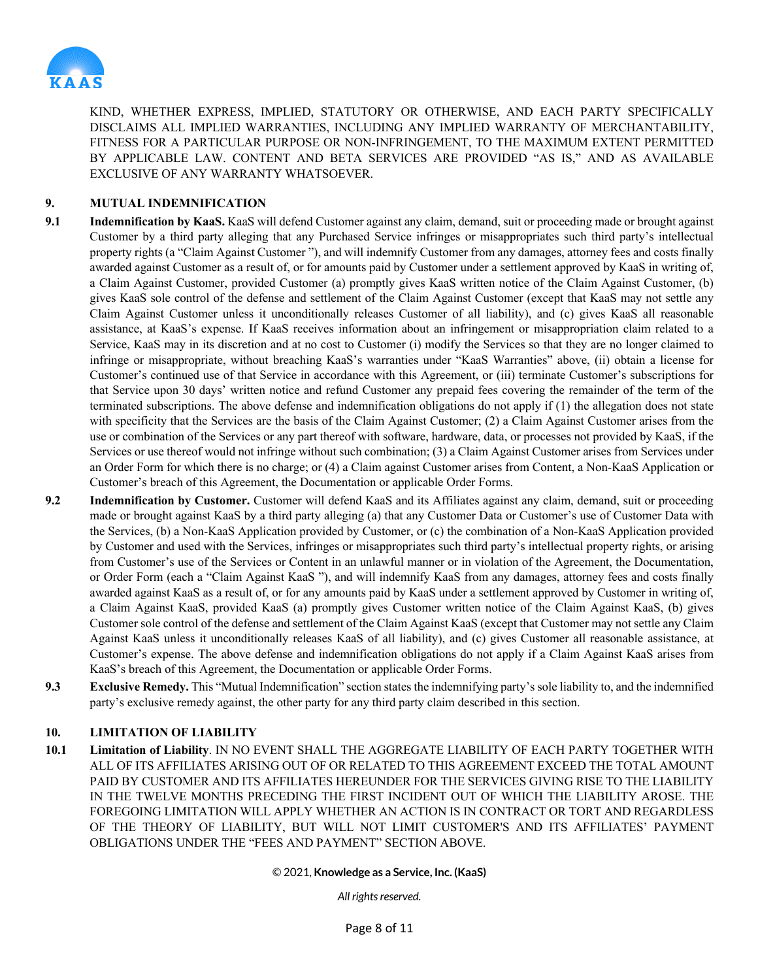

KIND, WHETHER EXPRESS, IMPLIED, STATUTORY OR OTHERWISE, AND EACH PARTY SPECIFICALLY DISCLAIMS ALL IMPLIED WARRANTIES, INCLUDING ANY IMPLIED WARRANTY OF MERCHANTABILITY, FITNESS FOR A PARTICULAR PURPOSE OR NON-INFRINGEMENT, TO THE MAXIMUM EXTENT PERMITTED BY APPLICABLE LAW. CONTENT AND BETA SERVICES ARE PROVIDED "AS IS," AND AS AVAILABLE EXCLUSIVE OF ANY WARRANTY WHATSOEVER.

# **9. MUTUAL INDEMNIFICATION**

- **9.1 Indemnification by KaaS.** KaaS will defend Customer against any claim, demand, suit or proceeding made or brought against Customer by a third party alleging that any Purchased Service infringes or misappropriates such third party's intellectual property rights (a "Claim Against Customer "), and will indemnify Customer from any damages, attorney fees and costs finally awarded against Customer as a result of, or for amounts paid by Customer under a settlement approved by KaaS in writing of, a Claim Against Customer, provided Customer (a) promptly gives KaaS written notice of the Claim Against Customer, (b) gives KaaS sole control of the defense and settlement of the Claim Against Customer (except that KaaS may not settle any Claim Against Customer unless it unconditionally releases Customer of all liability), and (c) gives KaaS all reasonable assistance, at KaaS's expense. If KaaS receives information about an infringement or misappropriation claim related to a Service, KaaS may in its discretion and at no cost to Customer (i) modify the Services so that they are no longer claimed to infringe or misappropriate, without breaching KaaS's warranties under "KaaS Warranties" above, (ii) obtain a license for Customer's continued use of that Service in accordance with this Agreement, or (iii) terminate Customer's subscriptions for that Service upon 30 days' written notice and refund Customer any prepaid fees covering the remainder of the term of the terminated subscriptions. The above defense and indemnification obligations do not apply if (1) the allegation does not state with specificity that the Services are the basis of the Claim Against Customer; (2) a Claim Against Customer arises from the use or combination of the Services or any part thereof with software, hardware, data, or processes not provided by KaaS, if the Services or use thereof would not infringe without such combination; (3) a Claim Against Customer arises from Services under an Order Form for which there is no charge; or (4) a Claim against Customer arises from Content, a Non-KaaS Application or Customer's breach of this Agreement, the Documentation or applicable Order Forms.
- **9.2 Indemnification by Customer.** Customer will defend KaaS and its Affiliates against any claim, demand, suit or proceeding made or brought against KaaS by a third party alleging (a) that any Customer Data or Customer's use of Customer Data with the Services, (b) a Non-KaaS Application provided by Customer, or (c) the combination of a Non-KaaS Application provided by Customer and used with the Services, infringes or misappropriates such third party's intellectual property rights, or arising from Customer's use of the Services or Content in an unlawful manner or in violation of the Agreement, the Documentation, or Order Form (each a "Claim Against KaaS "), and will indemnify KaaS from any damages, attorney fees and costs finally awarded against KaaS as a result of, or for any amounts paid by KaaS under a settlement approved by Customer in writing of, a Claim Against KaaS, provided KaaS (a) promptly gives Customer written notice of the Claim Against KaaS, (b) gives Customer sole control of the defense and settlement of the Claim Against KaaS (except that Customer may not settle any Claim Against KaaS unless it unconditionally releases KaaS of all liability), and (c) gives Customer all reasonable assistance, at Customer's expense. The above defense and indemnification obligations do not apply if a Claim Against KaaS arises from KaaS's breach of this Agreement, the Documentation or applicable Order Forms.
- **9.3 Exclusive Remedy.** This "Mutual Indemnification" section states the indemnifying party's sole liability to, and the indemnified party's exclusive remedy against, the other party for any third party claim described in this section.

# **10. LIMITATION OF LIABILITY**

**10.1 Limitation of Liability**. IN NO EVENT SHALL THE AGGREGATE LIABILITY OF EACH PARTY TOGETHER WITH ALL OF ITS AFFILIATES ARISING OUT OF OR RELATED TO THIS AGREEMENT EXCEED THE TOTAL AMOUNT PAID BY CUSTOMER AND ITS AFFILIATES HEREUNDER FOR THE SERVICES GIVING RISE TO THE LIABILITY IN THE TWELVE MONTHS PRECEDING THE FIRST INCIDENT OUT OF WHICH THE LIABILITY AROSE. THE FOREGOING LIMITATION WILL APPLY WHETHER AN ACTION IS IN CONTRACT OR TORT AND REGARDLESS OF THE THEORY OF LIABILITY, BUT WILL NOT LIMIT CUSTOMER'S AND ITS AFFILIATES' PAYMENT OBLIGATIONS UNDER THE "FEES AND PAYMENT" SECTION ABOVE.

#### © 2021, **Knowledge as a Service, Inc. (KaaS)**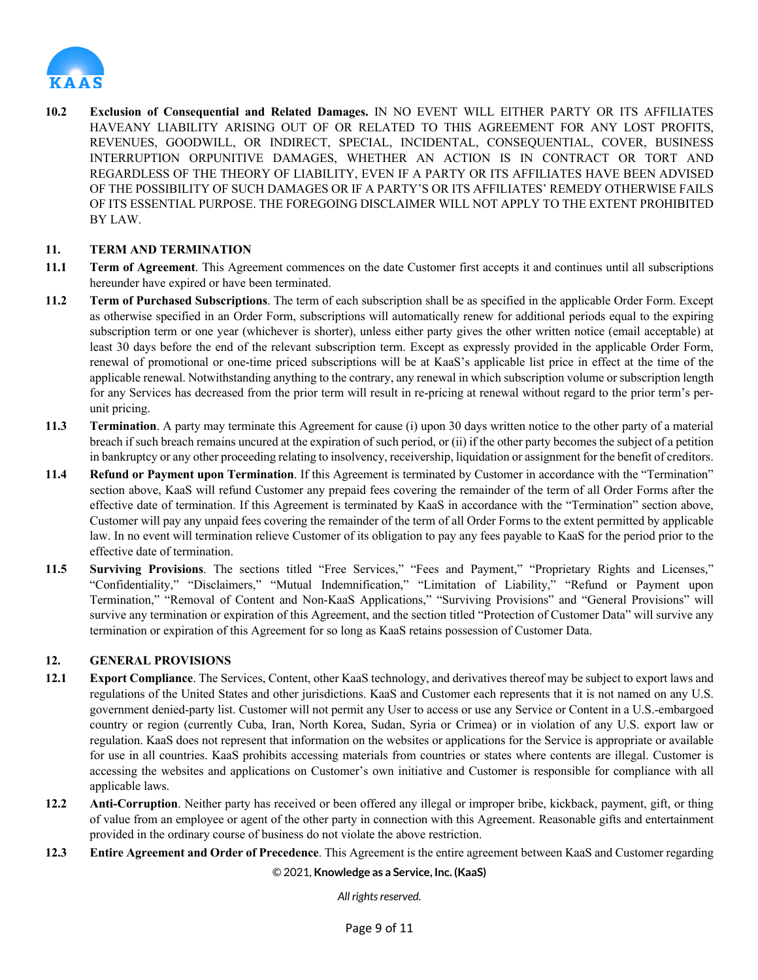

**10.2 Exclusion of Consequential and Related Damages.** IN NO EVENT WILL EITHER PARTY OR ITS AFFILIATES HAVEANY LIABILITY ARISING OUT OF OR RELATED TO THIS AGREEMENT FOR ANY LOST PROFITS, REVENUES, GOODWILL, OR INDIRECT, SPECIAL, INCIDENTAL, CONSEQUENTIAL, COVER, BUSINESS INTERRUPTION ORPUNITIVE DAMAGES, WHETHER AN ACTION IS IN CONTRACT OR TORT AND REGARDLESS OF THE THEORY OF LIABILITY, EVEN IF A PARTY OR ITS AFFILIATES HAVE BEEN ADVISED OF THE POSSIBILITY OF SUCH DAMAGES OR IF A PARTY'S OR ITS AFFILIATES' REMEDY OTHERWISE FAILS OF ITS ESSENTIAL PURPOSE. THE FOREGOING DISCLAIMER WILL NOT APPLY TO THE EXTENT PROHIBITED BY LAW.

# **11. TERM AND TERMINATION**

- **11.1 Term of Agreement**. This Agreement commences on the date Customer first accepts it and continues until all subscriptions hereunder have expired or have been terminated.
- **11.2 Term of Purchased Subscriptions**. The term of each subscription shall be as specified in the applicable Order Form. Except as otherwise specified in an Order Form, subscriptions will automatically renew for additional periods equal to the expiring subscription term or one year (whichever is shorter), unless either party gives the other written notice (email acceptable) at least 30 days before the end of the relevant subscription term. Except as expressly provided in the applicable Order Form, renewal of promotional or one-time priced subscriptions will be at KaaS's applicable list price in effect at the time of the applicable renewal. Notwithstanding anything to the contrary, any renewal in which subscription volume or subscription length for any Services has decreased from the prior term will result in re-pricing at renewal without regard to the prior term's perunit pricing.
- **11.3 Termination**. A party may terminate this Agreement for cause (i) upon 30 days written notice to the other party of a material breach if such breach remains uncured at the expiration of such period, or (ii) if the other party becomes the subject of a petition in bankruptcy or any other proceeding relating to insolvency, receivership, liquidation or assignment for the benefit of creditors.
- **11.4 Refund or Payment upon Termination**. If this Agreement is terminated by Customer in accordance with the "Termination" section above, KaaS will refund Customer any prepaid fees covering the remainder of the term of all Order Forms after the effective date of termination. If this Agreement is terminated by KaaS in accordance with the "Termination" section above, Customer will pay any unpaid fees covering the remainder of the term of all Order Forms to the extent permitted by applicable law. In no event will termination relieve Customer of its obligation to pay any fees payable to KaaS for the period prior to the effective date of termination.
- **11.5 Surviving Provisions**. The sections titled "Free Services," "Fees and Payment," "Proprietary Rights and Licenses," "Confidentiality," "Disclaimers," "Mutual Indemnification," "Limitation of Liability," "Refund or Payment upon Termination," "Removal of Content and Non-KaaS Applications," "Surviving Provisions" and "General Provisions" will survive any termination or expiration of this Agreement, and the section titled "Protection of Customer Data" will survive any termination or expiration of this Agreement for so long as KaaS retains possession of Customer Data.

### **12. GENERAL PROVISIONS**

- **12.1 Export Compliance**. The Services, Content, other KaaS technology, and derivatives thereof may be subject to export laws and regulations of the United States and other jurisdictions. KaaS and Customer each represents that it is not named on any U.S. government denied-party list. Customer will not permit any User to access or use any Service or Content in a U.S.-embargoed country or region (currently Cuba, Iran, North Korea, Sudan, Syria or Crimea) or in violation of any U.S. export law or regulation. KaaS does not represent that information on the websites or applications for the Service is appropriate or available for use in all countries. KaaS prohibits accessing materials from countries or states where contents are illegal. Customer is accessing the websites and applications on Customer's own initiative and Customer is responsible for compliance with all applicable laws.
- **12.2 Anti-Corruption**. Neither party has received or been offered any illegal or improper bribe, kickback, payment, gift, or thing of value from an employee or agent of the other party in connection with this Agreement. Reasonable gifts and entertainment provided in the ordinary course of business do not violate the above restriction.
- **12.3 Entire Agreement and Order of Precedence**. This Agreement is the entire agreement between KaaS and Customer regarding

© 2021, **Knowledge as a Service, Inc. (KaaS)**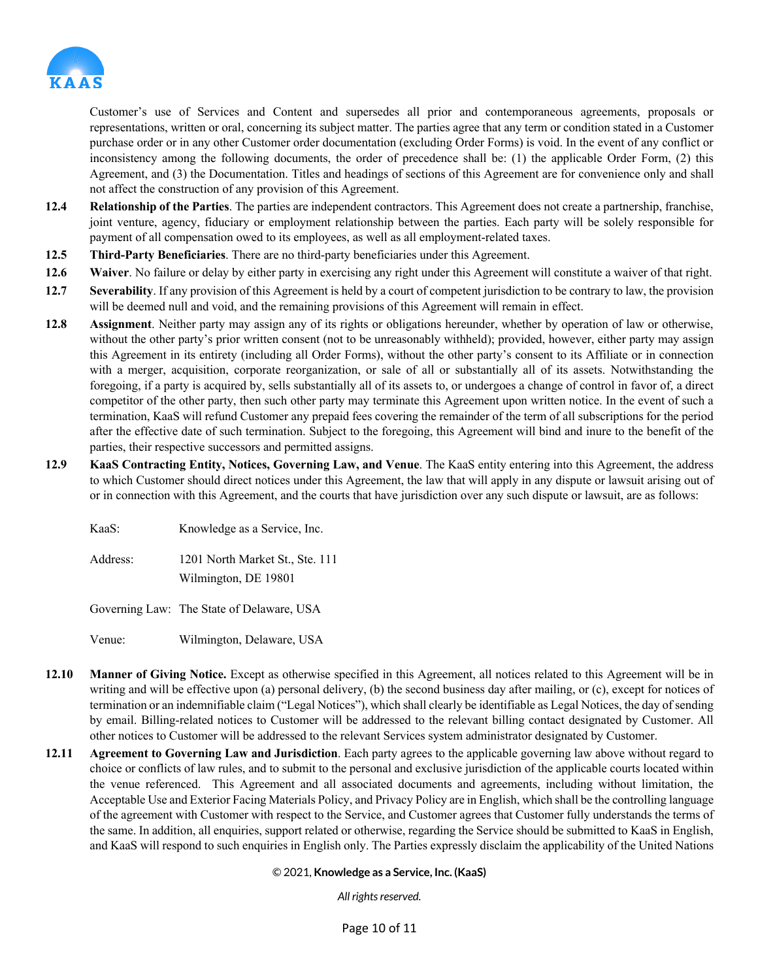

Customer's use of Services and Content and supersedes all prior and contemporaneous agreements, proposals or representations, written or oral, concerning its subject matter. The parties agree that any term or condition stated in a Customer purchase order or in any other Customer order documentation (excluding Order Forms) is void. In the event of any conflict or inconsistency among the following documents, the order of precedence shall be: (1) the applicable Order Form, (2) this Agreement, and (3) the Documentation. Titles and headings of sections of this Agreement are for convenience only and shall not affect the construction of any provision of this Agreement.

- **12.4 Relationship of the Parties**. The parties are independent contractors. This Agreement does not create a partnership, franchise, joint venture, agency, fiduciary or employment relationship between the parties. Each party will be solely responsible for payment of all compensation owed to its employees, as well as all employment-related taxes.
- **12.5 Third-Party Beneficiaries**. There are no third-party beneficiaries under this Agreement.
- **12.6 Waiver**. No failure or delay by either party in exercising any right under this Agreement will constitute a waiver of that right.
- **12.7 Severability**. If any provision of this Agreement is held by a court of competent jurisdiction to be contrary to law, the provision will be deemed null and void, and the remaining provisions of this Agreement will remain in effect.
- **12.8 Assignment**. Neither party may assign any of its rights or obligations hereunder, whether by operation of law or otherwise, without the other party's prior written consent (not to be unreasonably withheld); provided, however, either party may assign this Agreement in its entirety (including all Order Forms), without the other party's consent to its Affiliate or in connection with a merger, acquisition, corporate reorganization, or sale of all or substantially all of its assets. Notwithstanding the foregoing, if a party is acquired by, sells substantially all of its assets to, or undergoes a change of control in favor of, a direct competitor of the other party, then such other party may terminate this Agreement upon written notice. In the event of such a termination, KaaS will refund Customer any prepaid fees covering the remainder of the term of all subscriptions for the period after the effective date of such termination. Subject to the foregoing, this Agreement will bind and inure to the benefit of the parties, their respective successors and permitted assigns.
- **12.9 KaaS Contracting Entity, Notices, Governing Law, and Venue**. The KaaS entity entering into this Agreement, the address to which Customer should direct notices under this Agreement, the law that will apply in any dispute or lawsuit arising out of or in connection with this Agreement, and the courts that have jurisdiction over any such dispute or lawsuit, are as follows:

| KaaS:    | Knowledge as a Service, Inc.    |
|----------|---------------------------------|
| Address: | 1201 North Market St., Ste. 111 |

Wilmington, DE 19801

Governing Law: The State of Delaware, USA

Venue: Wilmington, Delaware, USA

- **12.10 Manner of Giving Notice.** Except as otherwise specified in this Agreement, all notices related to this Agreement will be in writing and will be effective upon (a) personal delivery, (b) the second business day after mailing, or (c), except for notices of termination or an indemnifiable claim ("Legal Notices"), which shall clearly be identifiable as Legal Notices, the day of sending by email. Billing-related notices to Customer will be addressed to the relevant billing contact designated by Customer. All other notices to Customer will be addressed to the relevant Services system administrator designated by Customer.
- **12.11 Agreement to Governing Law and Jurisdiction**. Each party agrees to the applicable governing law above without regard to choice or conflicts of law rules, and to submit to the personal and exclusive jurisdiction of the applicable courts located within the venue referenced. This Agreement and all associated documents and agreements, including without limitation, the Acceptable Use and Exterior Facing Materials Policy, and Privacy Policy are in English, which shall be the controlling language of the agreement with Customer with respect to the Service, and Customer agrees that Customer fully understands the terms of the same. In addition, all enquiries, support related or otherwise, regarding the Service should be submitted to KaaS in English, and KaaS will respond to such enquiries in English only. The Parties expressly disclaim the applicability of the United Nations

© 2021, **Knowledge as a Service, Inc. (KaaS)**